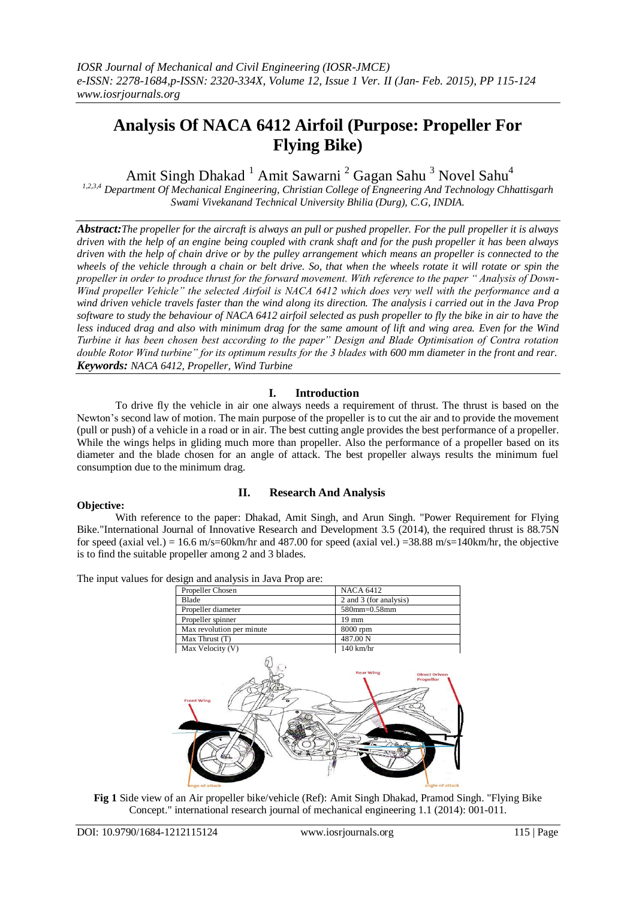# **Analysis Of NACA 6412 Airfoil (Purpose: Propeller For Flying Bike)**

Amit Singh Dhakad<sup>1</sup> Amit Sawarni<sup>2</sup> Gagan Sahu<sup>3</sup> Novel Sahu<sup>4</sup>

*1,2,3,4 Department Of Mechanical Engineering, Christian College of Engneering And Technology Chhattisgarh Swami Vivekanand Technical University Bhilia (Durg), C.G, INDIA.*

*Abstract:The propeller for the aircraft is always an pull or pushed propeller. For the pull propeller it is always driven with the help of an engine being coupled with crank shaft and for the push propeller it has been always driven with the help of chain drive or by the pulley arrangement which means an propeller is connected to the wheels of the vehicle through a chain or belt drive. So, that when the wheels rotate it will rotate or spin the propeller in order to produce thrust for the forward movement. With reference to the paper " Analysis of Down-Wind propeller Vehicle" the selected Airfoil is NACA 6412 which does very well with the performance and a wind driven vehicle travels faster than the wind along its direction. The analysis i carried out in the Java Prop software to study the behaviour of NACA 6412 airfoil selected as push propeller to fly the bike in air to have the less induced drag and also with minimum drag for the same amount of lift and wing area. Even for the Wind Turbine it has been chosen best according to the paper" Design and Blade Optimisation of Contra rotation double Rotor Wind turbine" for its optimum results for the 3 blades with 600 mm diameter in the front and rear. Keywords: NACA 6412, Propeller, Wind Turbine*

## **I. Introduction**

To drive fly the vehicle in air one always needs a requirement of thrust. The thrust is based on the Newton"s second law of motion. The main purpose of the propeller is to cut the air and to provide the movement (pull or push) of a vehicle in a road or in air. The best cutting angle provides the best performance of a propeller. While the wings helps in gliding much more than propeller. Also the performance of a propeller based on its diameter and the blade chosen for an angle of attack. The best propeller always results the minimum fuel consumption due to the minimum drag.

### **Objective:**

### **II. Research And Analysis**

With reference to the paper: Dhakad, Amit Singh, and Arun Singh. "Power Requirement for Flying Bike."International Journal of Innovative Research and Development 3.5 (2014), the required thrust is 88.75N for speed (axial vel.) = 16.6 m/s=60km/hr and 487.00 for speed (axial vel.) = 38.88 m/s=140km/hr, the objective is to find the suitable propeller among 2 and 3 blades.

The input values for design and analysis in Java Prop are:

| Propeller Chosen          | <b>NACA 6412</b>                                      |
|---------------------------|-------------------------------------------------------|
| Blade                     | 2 and 3 (for analysis)                                |
| Propeller diameter        | 580mm=0.58mm                                          |
| Propeller spinner         | 19 mm                                                 |
| Max revolution per minute | 8000 rpm                                              |
| Max Thrust (T)            | 487.00 N                                              |
| Max Velocity (V)          | $140$ km/hr                                           |
| <b>Front Wing</b>         | <b>Rear Wing</b><br><b>Direct Driven</b><br>Propellor |

**Fig 1** Side view of an Air propeller bike/vehicle (Ref): Amit Singh Dhakad, Pramod Singh. "Flying Bike Concept." international research journal of mechanical engineering 1.1 (2014): 001-011.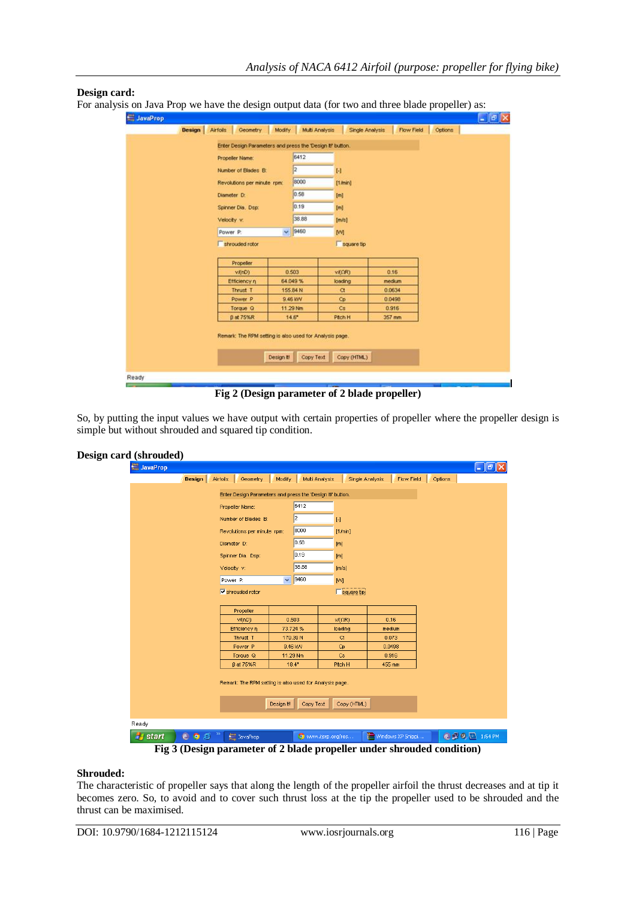### **Design card:**

For analysis on Java Prop we have the design output data (for two and three blade propeller) as:

| Design | <b>Airfols</b> | Geometry                                                  | Modify | Multi Analysis |              | <b>Single Analysis</b> | <b>Flow Field</b> | Options |
|--------|----------------|-----------------------------------------------------------|--------|----------------|--------------|------------------------|-------------------|---------|
|        |                | Enter Design Parameters and press the 'Design it' button. |        |                |              |                        |                   |         |
|        |                | Propeller Name:                                           |        | 6412           |              |                        |                   |         |
|        |                | Number of Blades B:                                       |        | 2              | $\mathbf{H}$ |                        |                   |         |
|        |                | Revolutions per minute rpm:                               |        | 8000           | [1,4min]     |                        |                   |         |
|        | Diameter D:    |                                                           |        | 0.58           |              |                        |                   |         |
|        |                |                                                           |        | 0.19           | [m]          |                        |                   |         |
|        |                | Spinner Dia, Dsp:                                         |        |                | [m]          |                        |                   |         |
|        | Velocity v.    |                                                           |        | 38.88          | [mk]         |                        |                   |         |
|        | Power P.       |                                                           |        | $\times$ 9460  | M            |                        |                   |         |
|        |                | shrouded rotor                                            |        |                |              | square tip             |                   |         |
|        |                | Propeller                                                 |        | 0.503          | VADRO        |                        |                   |         |
|        |                | vi(nD)<br>Efficiency n                                    |        | 64.049%        | loading      |                        | 0.16<br>medium    |         |
|        |                | Thrust T                                                  |        | 155.84 N       | $\alpha$     |                        | 0.0634            |         |
|        |                | Power P                                                   |        | 9.46 KW        | Cp           |                        | 0.0498            |         |
|        |                | Torque Q                                                  |        | 11.29 Nm       | Cs           |                        | 0.916             |         |
|        |                | β at 75%R                                                 |        | $14.6^{\circ}$ | Pitch H      |                        | 357 mm            |         |

**Fig 2 (Design parameter of 2 blade propeller)**

So, by putting the input values we have output with certain properties of propeller where the propeller design is simple but without shrouded and squared tip condition.

| Design card (shrouded) |                 |        |             |                                                                        |                |                   |                 |                   |         |                      |  |
|------------------------|-----------------|--------|-------------|------------------------------------------------------------------------|----------------|-------------------|-----------------|-------------------|---------|----------------------|--|
|                        | <b>JavaProp</b> |        |             |                                                                        |                |                   |                 |                   |         | $\Box$ e $\boxtimes$ |  |
|                        |                 | Design | Airfoils    | Geometry                                                               | Modify         | Multi Analysis    | Single Analysis | Flow Field        | Options |                      |  |
|                        |                 |        |             | Enter Design Parameters and press the 'Design It!' button.             |                |                   |                 |                   |         |                      |  |
|                        |                 |        |             | Propeller Name:                                                        |                | 6412              |                 |                   |         |                      |  |
|                        |                 |        |             | Number of Blades B:                                                    |                | 2                 |                 |                   |         |                      |  |
|                        |                 |        |             |                                                                        |                |                   | $[\cdot]$       |                   |         |                      |  |
|                        |                 |        |             | Revolutions per minute rpm:                                            |                | 8000              | [1/min]         |                   |         |                      |  |
|                        |                 |        | Diameter D: |                                                                        |                | 0.58              | [m]             |                   |         |                      |  |
|                        |                 |        |             | Spinner Dia. Dsp:                                                      |                | 0.19              | [m]             |                   |         |                      |  |
|                        |                 |        | Velocity v: |                                                                        |                | 38.88             | [m/s]           |                   |         |                      |  |
|                        |                 |        | Power P:    |                                                                        | $\checkmark$   | 9460              | <b>M</b>        |                   |         |                      |  |
|                        |                 |        |             | $\overline{\mathbf{v}}$ shrouded rotor                                 |                |                   | square tip      |                   |         |                      |  |
|                        |                 |        |             |                                                                        |                |                   |                 |                   |         |                      |  |
|                        |                 |        |             | Propeller                                                              |                |                   |                 |                   |         |                      |  |
|                        |                 |        |             | $v$ $f(nD)$                                                            | 0.503          |                   | V/(QR)          | 0.16              |         |                      |  |
|                        |                 |        |             | Efficiency $\eta$                                                      | 73.724 %       |                   | loading         | medium            |         |                      |  |
|                        |                 |        |             | Thrust T<br>Power <sub>P</sub>                                         | 179.39N        | 9.46 KW           | $\alpha$        | 0.073<br>0.0498   |         |                      |  |
|                        |                 |        |             | Torque Q                                                               | 11.29 Nm       |                   | Cp<br>Cs.       | 0.916             |         |                      |  |
|                        |                 |        |             | <b>B</b> at 75%R                                                       | $18.4^{\circ}$ |                   | Pitch H         | 455 mm            |         |                      |  |
|                        |                 |        |             |                                                                        |                |                   |                 |                   |         |                      |  |
|                        |                 |        |             | Remark: The RPM setting is also used for Analysis page.                |                |                   |                 |                   |         |                      |  |
|                        |                 |        |             |                                                                        |                |                   |                 |                   |         |                      |  |
|                        |                 |        |             |                                                                        | Design II!     | Copy Text         | Copy (HTML)     |                   |         |                      |  |
|                        | Ready           |        |             |                                                                        |                |                   |                 |                   |         |                      |  |
|                        |                 |        |             |                                                                        |                |                   |                 |                   |         |                      |  |
|                        | <b>H</b> start  | COB    |             | <b>Java</b> JavaProp                                                   |                | www.ijsrp.org/res |                 | Windows XP Snippi |         | <b>© 9 8</b> 1:54 PM |  |
|                        |                 |        |             | Fig 3 (Design parameter of 2 blade propeller under shrouded condition) |                |                   |                 |                   |         |                      |  |

### **Shrouded:**

The characteristic of propeller says that along the length of the propeller airfoil the thrust decreases and at tip it becomes zero. So, to avoid and to cover such thrust loss at the tip the propeller used to be shrouded and the thrust can be maximised.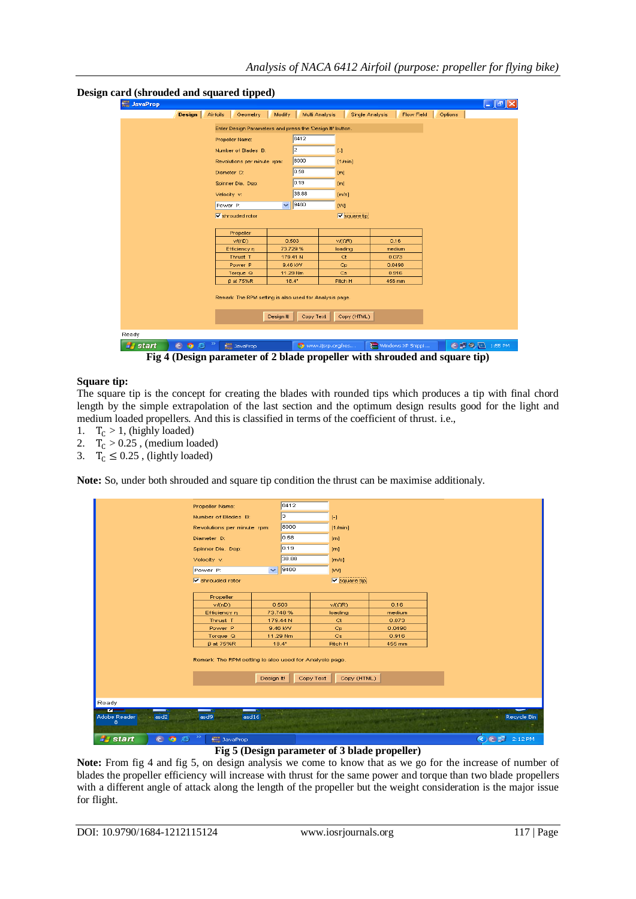| Design | Airfoils    | Geometry                                                   | Modify       | Multi Analysis |                             | Single Analysis<br>Flow Field | Options |
|--------|-------------|------------------------------------------------------------|--------------|----------------|-----------------------------|-------------------------------|---------|
|        |             | Enter Design Parameters and press the 'Design It!' button. |              |                |                             |                               |         |
|        |             | Propeller Name:                                            |              | 6412           |                             |                               |         |
|        |             | Number of Blades B:                                        |              | 2              | $\left[ \cdot \right]$      |                               |         |
|        |             | Revolutions per minute rpm:                                |              |                |                             |                               |         |
|        |             |                                                            |              | 8000           | [1/min]                     |                               |         |
|        |             | Diameter D:                                                |              | 0.58           | [m]                         |                               |         |
|        |             | Spinner Dia. Dsp:                                          |              | 0.19           | [m]                         |                               |         |
|        | Velocity v: |                                                            |              | 38.88          | [m/s]                       |                               |         |
|        | Power P:    |                                                            | $\checkmark$ | 9460           | <b>M</b>                    |                               |         |
|        |             | $\triangledown$ shrouded rotor                             |              |                | $\triangledown$ square tip. |                               |         |
|        |             |                                                            |              |                |                             |                               |         |
|        |             | Propeller                                                  |              |                |                             |                               |         |
|        |             | v/(nD)                                                     |              | 0.503          | V/(QR)                      | 0.16                          |         |
|        |             | Efficiency $\eta$                                          |              | 73.729%        | loading                     | medium                        |         |
|        |             | Thrust T                                                   |              | 179.41 N       | ct                          | 0.073                         |         |
|        |             | Power <sub>P</sub>                                         |              | 9.46 KW        | Cp                          | 0.0498                        |         |
|        |             | Torque Q                                                   |              | 11.29 Nm       | Cs                          | 0.916                         |         |
|        |             | <b>B</b> at 75%R                                           |              | $18.4^{\circ}$ | Pitch H                     | 456 mm                        |         |

#### **Design card (shrouded and squared tipped)**

**Fig 4 (Design parameter of 2 blade propeller with shrouded and square tip)**

### **Square tip:**

The square tip is the concept for creating the blades with rounded tips which produces a tip with final chord length by the simple extrapolation of the last section and the optimum design results good for the light and medium loaded propellers. And this is classified in terms of the coefficient of thrust. i.e.,

- 1.  $T_C > 1$ , (highly loaded)
- 2.  $T_c > 0.25$ , (medium loaded)
- 3.  $T_c \leq 0.25$ , (lightly loaded)

**Note:** So, under both shrouded and square tip condition the thrust can be maximise additionaly.

| Propeller Name:                                                             |                          | 6412           |           |                      |        |                                      |
|-----------------------------------------------------------------------------|--------------------------|----------------|-----------|----------------------|--------|--------------------------------------|
| Number of Blades B:                                                         |                          | lз.            |           | $[ - ]$              |        |                                      |
| Revolutions per minute rpm:                                                 |                          | 8000           |           | [1/min]              |        |                                      |
| Diameter D:                                                                 |                          | 0.58           |           | [m]                  |        |                                      |
| Spinner Dia, Dsp:                                                           |                          | 0.19           |           | [m]                  |        |                                      |
| Velocity v:                                                                 |                          | 38.88          |           | [m/s]                |        |                                      |
| Power P:                                                                    | $\overline{\phantom{0}}$ | 9460           |           | [W]                  |        |                                      |
| $\nabla$ shrouded rotor                                                     |                          |                |           | $\nabla$ square tip. |        |                                      |
|                                                                             |                          |                |           |                      |        |                                      |
| Propeller                                                                   |                          |                |           |                      |        |                                      |
| V(ND)                                                                       |                          | 0.503          |           | v/(QR)               | 0.16   |                                      |
| Efficiency η                                                                |                          | 73.748%        |           | loading              | medium |                                      |
| Thrust <sub>T</sub>                                                         |                          | 179.44 N       |           | ct                   | 0.073  |                                      |
| Power <sub>P</sub>                                                          |                          | 9.46 KW        |           | Cp                   | 0.0498 |                                      |
| Torque Q                                                                    |                          | 11.29 Nm       |           | Cs                   | 0.916  |                                      |
| $\beta$ at 75%R                                                             |                          | $18.4^{\circ}$ |           | Pitch H              | 455 mm |                                      |
| Remark: The RPM setting is also used for Analysis page.                     | Design II!               |                | Copy Text | Copy (HTML)          |        |                                      |
| Ready                                                                       |                          |                |           |                      |        |                                      |
| m<br>$\overline{\phantom{a}}$<br>asd16<br>Adobe Reader<br>asd2<br>asd9<br>8 |                          |                |           |                      |        | --<br>Recycle Bin<br><b>ALCOHOL:</b> |
| ≫<br>start<br>COB<br><b>Java</b> JavaProp<br>- 7                            |                          |                |           |                      |        | <b>E 2:12 PM</b>                     |

**Fig 5 (Design parameter of 3 blade propeller)**

**Note:** From fig 4 and fig 5, on design analysis we come to know that as we go for the increase of number of blades the propeller efficiency will increase with thrust for the same power and torque than two blade propellers with a different angle of attack along the length of the propeller but the weight consideration is the major issue for flight.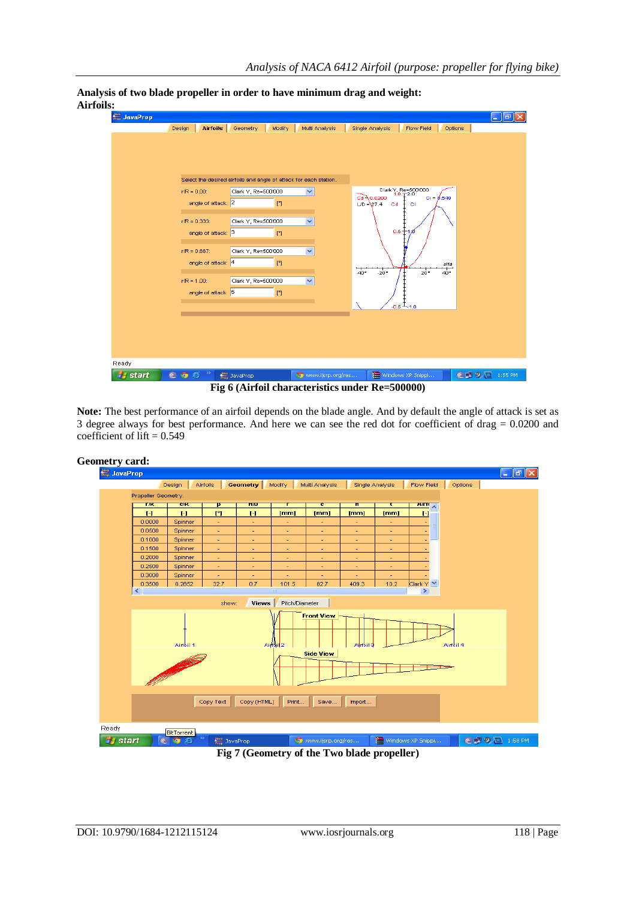

**Analysis of two blade propeller in order to have minimum drag and weight: Airfoils:**

**Note:** The best performance of an airfoil depends on the blade angle. And by default the angle of attack is set as 3 degree always for best performance. And here we can see the red dot for coefficient of drag  $= 0.0200$  and coefficient of lift  $= 0.549$ 



**Fig 7 (Geometry of the Two blade propeller)**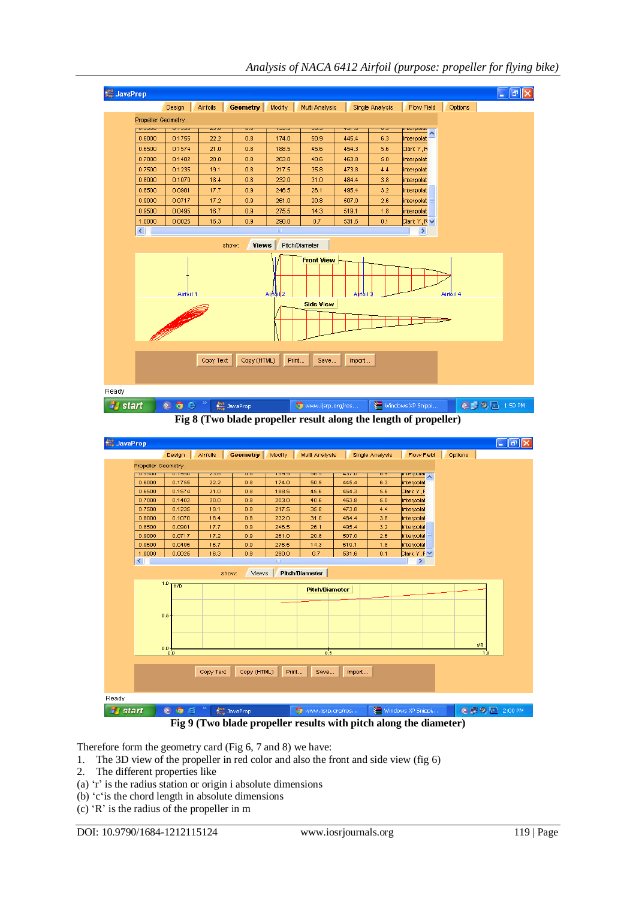

*Analysis of NACA 6412 Airfoil (purpose: propeller for flying bike)*

**Fig 8 (Two blade propeller result along the length of propeller)**



Therefore form the geometry card (Fig 6, 7 and 8) we have:

- 1. The 3D view of the propeller in red color and also the front and side view (fig 6)
- 2. The different properties like
- (a)  $\dot{r}$  is the radius station or origin i absolute dimensions
- (b) "c"is the chord length in absolute dimensions
- (c) "R" is the radius of the propeller in m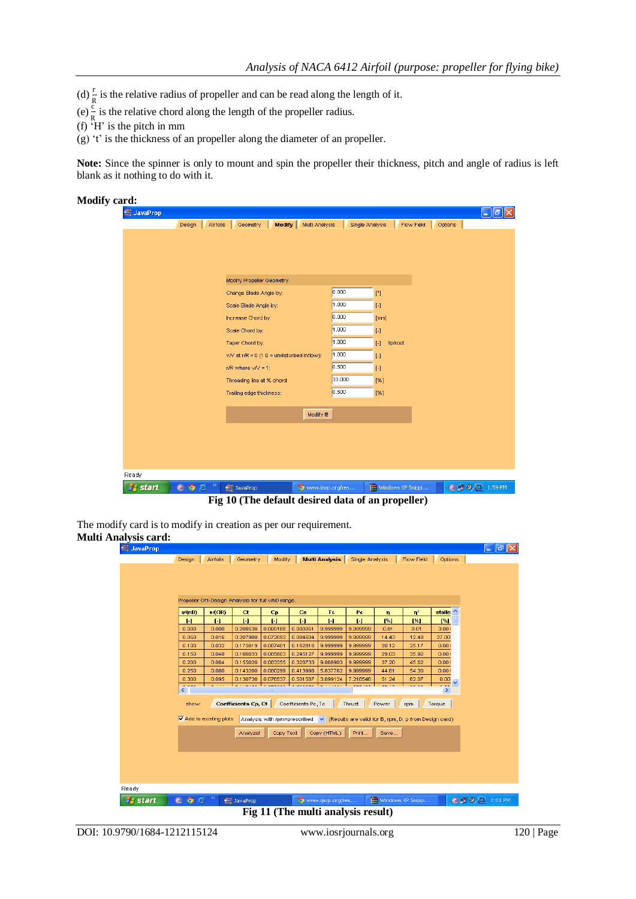- (d)  $\frac{r}{R}$  is the relative radius of propeller and can be read along the length of it.
- (e)  $\frac{\hat{c}}{R}$  is the relative chord along the length of the propeller radius.
- (f)  $H'$  is the pitch in mm
- (g) 't' is the thickness of an propeller along the diameter of an propeller.

**Note:** Since the spinner is only to mount and spin the propeller their thickness, pitch and angle of radius is left blank as it nothing to do with it.

| <b>Modify card:</b>  |                    |                            |                                              |        |                               |               |          |
|----------------------|--------------------|----------------------------|----------------------------------------------|--------|-------------------------------|---------------|----------|
| <b>Hava</b> JavaProp |                    |                            |                                              |        |                               |               | $\Box$ e |
|                      | Design<br>Airfoils | Geometry                   | Multi Analysis<br>Modify                     |        | Single Analysis<br>Flow Field | Options       |          |
|                      |                    |                            |                                              |        |                               |               |          |
|                      |                    |                            |                                              |        |                               |               |          |
|                      |                    |                            |                                              |        |                               |               |          |
|                      |                    | Modify Propeller Geometry. |                                              |        |                               |               |          |
|                      |                    |                            |                                              | 0.000  |                               |               |          |
|                      |                    | Change Blade Angle by:     |                                              |        | $[{}^{n}]$                    |               |          |
|                      |                    | Scale Blade Angle by:      |                                              | 000.1  | $[ \cdot ]$                   |               |          |
|                      |                    | Increase Chord by:         |                                              | 0.000  | [mm]                          |               |          |
|                      |                    | Scale Chord by:            |                                              | 1.000  | $[ \cdot ]$                   |               |          |
|                      |                    | Taper Chord by:            |                                              | 1.000  | $\mathbb H$<br>tip/root       |               |          |
|                      |                    |                            | $v/V$ at r/R = 0 (1.0 = undisturbed inflow): | 1.000  | $[ \cdot ]$                   |               |          |
|                      |                    | r/R where $v/V = 1$ :      |                                              | 0.500  | $[ - ]$                       |               |          |
|                      |                    | Threading line at % chord: |                                              | 33.000 | [%]                           |               |          |
|                      |                    | Trailing edge thickness:   |                                              | 0.500  | [%]                           |               |          |
|                      |                    |                            |                                              |        |                               |               |          |
|                      |                    |                            | Modify III                                   |        |                               |               |          |
|                      |                    |                            |                                              |        |                               |               |          |
|                      |                    |                            |                                              |        |                               |               |          |
|                      |                    |                            |                                              |        |                               |               |          |
|                      |                    |                            |                                              |        |                               |               |          |
| Ready                |                    |                            |                                              |        |                               |               |          |
| start<br>Ш           | COO                | <b>Java</b> JavaProp       | www.ijsrp.org/res                            |        | Windows XP Snippi             | © 2 9 1:59 PM |          |

**Fig 10 (The default desired data of an propeller)**

The modify card is to modify in creation as per our requirement. **Multi Analysis card:**

|                                    |                                       | Propeller Off-Design Analysis for full v/nD range. |                                  |                             |                    |                 |               |                                                                                                  |                           |
|------------------------------------|---------------------------------------|----------------------------------------------------|----------------------------------|-----------------------------|--------------------|-----------------|---------------|--------------------------------------------------------------------------------------------------|---------------------------|
| v/(nD)<br>Н.                       | $v/(\Omega R)$<br>$\mathbf{H}$        | ct<br>$\mathbf{H}$                                 | $C_{\mathbf{p}}$<br>$\mathbf{H}$ | $\mathbf{c}\mathbf{s}$<br>ы | Tc<br>$\mathbf{H}$ | Pc<br>ы         | ŋ<br>[%]      | $\mathbf{n}^*$<br>[%]                                                                            | stalle $\sim$<br>[%]      |
| 0.000                              | 0.000                                 | 0.208538                                           | 0.085189                         | 0.000051                    | 9.999999           | 9.999999        | 0.01          | 0.01                                                                                             | 3.00!                     |
| 0.050                              | 0.016                                 | 0.207988                                           | 0.072093                         | 0.084604                    | 9.999999           | 9.999999        | 14.43         | 12.48                                                                                            | 27.00                     |
| 0.100                              | 0.032                                 | 0.175819                                           | 0.087401                         | 0.162816                    | 9.999999           | 9.999999        | 20.12         | 25.17                                                                                            | 0.00!                     |
| 0.150                              | 0.048                                 | 0.166033                                           | 0.085803                         | 0.245127                    | 9.999999           | 9.999999        | 29.03         | 35.92                                                                                            | 0.00!                     |
| 0.200                              | 0.064                                 | 0.155020                                           | 0.083355                         | 0.328733                    | 9.868903           | 9.999999        | 37.20         | 45.62                                                                                            | 0.00!                     |
| 0.250                              | 0.080                                 | 0.143280                                           | 0.080299                         | 0.413998                    | 5.837762           | 9.999999        | 44.61         | 54.30                                                                                            | 0.00!                     |
| 0.300                              | 0.095                                 | 0.130738                                           | 0.076537                         | 0.501587                    | 3.699124           | 7.218546        | 51.24         | 62.07                                                                                            | $\frac{0.00}{2}$ $\times$ |
| $\left\langle \cdot \right\rangle$ |                                       |                                                    | ШI                               |                             |                    |                 |               |                                                                                                  | $\vert \rangle$           |
| show:                              | $\triangledown$ Add to existing plots | <b>Coefficients Cp, Ct</b><br>Analyze!             | Copy Text                        | Coefficients Pc, Tc         | Copy (HTML)        | Thrust<br>Print | Power<br>Save | rpm<br>Analysis with rpm=prescribed $\vee$ (Results are valid for B, rpm, D, p from Design card) | Torque                    |
|                                    |                                       |                                                    |                                  |                             |                    |                 |               |                                                                                                  |                           |

**Fig 11 (The multi analysis result)**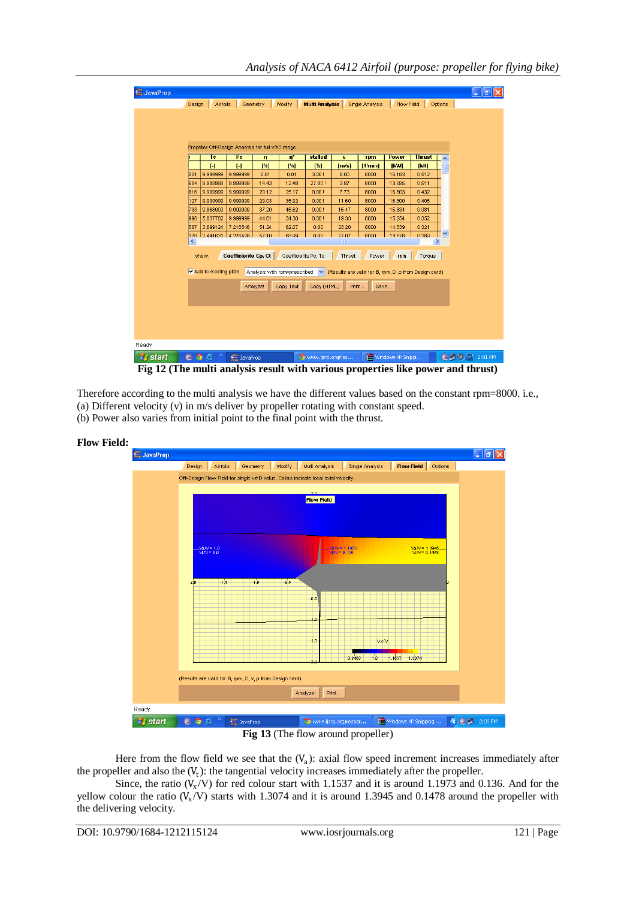*Analysis of NACA 6412 Airfoil (purpose: propeller for flying bike)*

| <b>JavaProp</b>                   |           |                                         |                                                    |          |                     |                                                                                           |                    |                 |                   |                   |         |
|-----------------------------------|-----------|-----------------------------------------|----------------------------------------------------|----------|---------------------|-------------------------------------------------------------------------------------------|--------------------|-----------------|-------------------|-------------------|---------|
|                                   | Design    | Airfoils                                |                                                    | Geometry | <b>Modify</b>       | <b>Multi Analysis</b>                                                                     |                    | Single Analysis | <b>Flow Field</b> |                   | Options |
|                                   |           |                                         |                                                    |          |                     |                                                                                           |                    |                 |                   |                   |         |
|                                   |           |                                         |                                                    |          |                     |                                                                                           |                    |                 |                   |                   |         |
|                                   |           |                                         |                                                    |          |                     |                                                                                           |                    |                 |                   |                   |         |
|                                   |           |                                         | Propeller Off-Design Analysis for full v/nD range. |          |                     |                                                                                           |                    |                 |                   |                   |         |
|                                   |           | Tc                                      | Pc                                                 | ŋ.       | $\mathbf{n}^*$      | stalled                                                                                   | v                  | rpm             | <b>Power</b>      | <b>Thrust</b>     | ∧       |
|                                   |           | $\mathbf{H}$                            | $\mathbf{H}$                                       | [%]      | [%]                 | [%]                                                                                       | [ <sub>m/s</sub> ] | [1/min]         | <b>IKWI</b>       | [ <sub>KN</sub> ] |         |
|                                   | 051       | 9.999999                                | 9.999999                                           | 0.01     | 0.01                | 3.00!                                                                                     | 0.00               | 8000            | 16.183            | 0.512             |         |
|                                   | 604       | 9.999999                                | 9.999999                                           | 14.43    | 12.48               | 27.00!                                                                                    | 3.87               | 8000            | 13.695            | 0.511             |         |
|                                   | 816       | 9.999999                                | 9.999999                                           | 20.12    | 25.17               | 0.00!                                                                                     | 7.73               | 8000            | 16.603            | 0.432             |         |
|                                   | 127       | 9.999999                                | 9.999999                                           | 29.03    | 35.92               | 0.00!                                                                                     | 11.60              | 8000            | 16.300            | 0.408             |         |
|                                   | 733       | 9.868903                                | 9.999999                                           | 37.20    | 45.62               | 0.00!                                                                                     | 15.47              | 8000            | 15.834            | 0.381             |         |
|                                   | 998       | 5.837762                                | 9.999999                                           | 44.61    | 54.30               | 0.00!                                                                                     | 19.33              | 8000            | 15.254            | 0.352             |         |
|                                   | 587       | 3.699124                                | 7.218546<br>2441631 4276428                        | 51.24    | 62.07               | 0.00                                                                                      | 23.20              | 8000            | 14.539            | 0.321             | ×       |
|                                   | 878.<br>⊀ |                                         |                                                    | 57.10    | 68.99               | n nn                                                                                      | 27.07<br>TIII.     | 8000            | 13.678            | 0.289             | ≯       |
|                                   |           |                                         |                                                    |          |                     |                                                                                           |                    |                 |                   |                   |         |
|                                   |           | show:                                   | Coefficients Cp, Ct                                |          | Coefficients Pc, Tc |                                                                                           | Thrust             | Power           | rpm               | Torque            |         |
|                                   |           | $\overline{\vee}$ Add to existing plots |                                                    |          |                     | Analysis with rpm=prescribed $\vee$ (Results are valid for B, rpm, D, p from Design card) |                    |                 |                   |                   |         |
|                                   |           |                                         |                                                    |          |                     |                                                                                           |                    |                 |                   |                   |         |
|                                   |           |                                         |                                                    | Analyze! | Copy Text           | Copy (HTML)                                                                               | Print              | Save            |                   |                   |         |
|                                   |           |                                         |                                                    |          |                     |                                                                                           |                    |                 |                   |                   |         |
|                                   |           |                                         |                                                    |          |                     |                                                                                           |                    |                 |                   |                   |         |
|                                   |           |                                         |                                                    |          |                     |                                                                                           |                    |                 |                   |                   |         |
|                                   |           |                                         |                                                    |          |                     |                                                                                           |                    |                 |                   |                   |         |
|                                   |           |                                         |                                                    |          |                     |                                                                                           |                    |                 |                   |                   |         |
|                                   |           |                                         |                                                    |          |                     |                                                                                           |                    |                 |                   |                   |         |
| <b><i>H<sub>s</sub></i></b> start | E         | $\bullet$ $\approx$                     | <b>Broad JavaProp</b>                              |          |                     | www.ijsrp.org/res                                                                         |                    |                 | Windows XP Snippi |                   | CDQ     |

**Fig 12 (The multi analysis result with various properties like power and thrust)**

Therefore according to the multi analysis we have the different values based on the constant rpm=8000. i.e., (a) Different velocity (v) in m/s deliver by propeller rotating with constant speed. (b) Power also varies from initial point to the final point with the thrust.

**Flow Field: JavaProp**  $\Box$ alx Design Airfoils Ceometry Modify Multi Analysis Single Analysis **Contained Analysis** Off-Design Flow Field for single v/nD value. Colors indicate local axial velocity **Flow Field**  $\frac{\sqrt{a}}{\sqrt{a}} = 1.0$  $\sqrt{a/V}$  = 1.197  $\frac{\text{VaN} = 1.3945}{\text{VAN} = 0.1478}$  $16$ ی ہ  $\overline{1}$  $v<sub>w</sub>$  $1.1537 + 1.307$ (Results are valid for B, rpm, D, v, p from Design card) Analyze! Print... Ready.

 $\overrightarrow{C}$   $\overrightarrow{C}$  2:09 PM Windows XP Snipping... 帶 **Java** JavaProp Www.ijsrp.org/resear. **Fig 13** (The flow around propeller)

Here from the flow field we see that the  $(V_a)$ : axial flow speed increment increases immediately after the propeller and also the  $(V_t)$ : the tangential velocity increases immediately after the propeller.

Since, the ratio  $(V_x/V)$  for red colour start with 1.1537 and it is around 1.1973 and 0.136. And for the yellow colour the ratio  $(V_x/V)$  starts with 1.3074 and it is around 1.3945 and 0.1478 around the propeller with the delivering velocity.

**A** start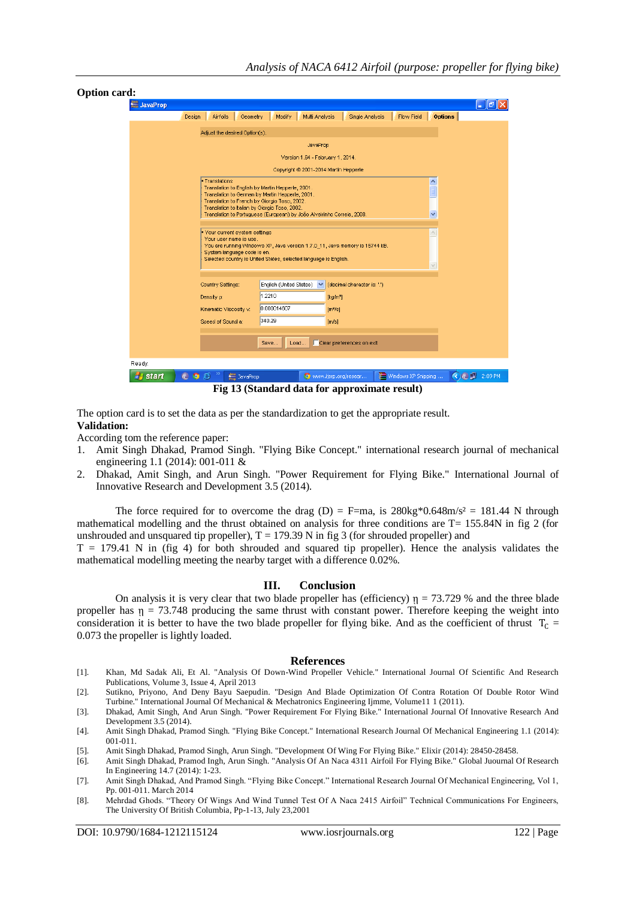| <b>Option card:</b>    |                                                                                                                                                                                                                                                                                                                                            |
|------------------------|--------------------------------------------------------------------------------------------------------------------------------------------------------------------------------------------------------------------------------------------------------------------------------------------------------------------------------------------|
| <b>Allega</b> JavaProp | - 10                                                                                                                                                                                                                                                                                                                                       |
|                        | Geometry<br>Modify<br>Multi Analysis<br>Flow Field<br><b>Options</b><br>Design<br>Airfoils<br><b>Single Analysis</b>                                                                                                                                                                                                                       |
|                        | Adjust the desired Option(s).                                                                                                                                                                                                                                                                                                              |
|                        | JavaProp                                                                                                                                                                                                                                                                                                                                   |
|                        | Version 1.64 - February 1, 2014.                                                                                                                                                                                                                                                                                                           |
|                        | Copyright @ 2001-2014 Martin Hepperle                                                                                                                                                                                                                                                                                                      |
|                        | · Translations<br>$\frac{\lambda}{\Box}$<br>Translation to English by Martin Hepperle, 2001.<br>Translation to German by Martin Hepperle, 2001.<br>Translation to French by Giorgio Toso, 2002.<br>Translation to Italian by Giorgio Toso, 2002.<br>$\checkmark$<br>Translation to Portuguese (European) by João Alveirinho Correia, 2008. |
|                        | Your current system settings<br>$\wedge$<br>Your user name is use.<br>You are running Windows XP, Java version 1.7.0_11, Java memory is 15744 kB.<br>System language code is en.<br>Selected country is United States, selected language is English.<br>$\checkmark$                                                                       |
|                        | English (United States)<br>M<br>(decimal character is: '.')<br>Country Settings:                                                                                                                                                                                                                                                           |
|                        | 1.2210<br>Density of<br>[kg/m <sup>3</sup> ]                                                                                                                                                                                                                                                                                               |
|                        | 0.000014607<br>Kinematic Viscosity v:<br>$[m^2/s]$                                                                                                                                                                                                                                                                                         |
|                        | 340.29<br>Speed of Sound at<br>[m/s]                                                                                                                                                                                                                                                                                                       |
|                        |                                                                                                                                                                                                                                                                                                                                            |
|                        | Clear preferences on exit<br>Load<br>Save                                                                                                                                                                                                                                                                                                  |
| Ready.                 |                                                                                                                                                                                                                                                                                                                                            |
| <b>F</b> start         | <b>EF</b> 2:09 PM<br>Windows XP Snipping<br>E O<br>ø<br><b>Java</b> JavaProp<br>www.ijsrp.org/resear                                                                                                                                                                                                                                       |
|                        | Fig 13 (Standard data for approximate result)                                                                                                                                                                                                                                                                                              |

The option card is to set the data as per the standardization to get the appropriate result. **Validation:** 

According tom the reference paper:

- 1. Amit Singh Dhakad, Pramod Singh. "Flying Bike Concept." international research journal of mechanical engineering 1.1 (2014): 001-011 &
- 2. Dhakad, Amit Singh, and Arun Singh. "Power Requirement for Flying Bike." International Journal of Innovative Research and Development 3.5 (2014).

The force required for to overcome the drag (D) = F=ma, is  $280\text{kg} * 0.648\text{m/s}^2 = 181.44$  N through mathematical modelling and the thrust obtained on analysis for three conditions are  $T= 155.84N$  in fig 2 (for unshrouded and unsquared tip propeller),  $T = 179.39$  N in fig 3 (for shrouded propeller) and

 $T = 179.41$  N in (fig 4) for both shrouded and squared tip propeller). Hence the analysis validates the mathematical modelling meeting the nearby target with a difference 0.02%.

#### **III. Conclusion**

On analysis it is very clear that two blade propeller has (efficiency)  $\eta = 73.729$  % and the three blade propeller has  $\eta = 73.748$  producing the same thrust with constant power. Therefore keeping the weight into consideration it is better to have the two blade propeller for flying bike. And as the coefficient of thrust  $T_c$  = 0.073 the propeller is lightly loaded.

#### **References**

- [1]. Khan, Md Sadak Ali, Et Al. "Analysis Of Down-Wind Propeller Vehicle." International Journal Of Scientific And Research Publications, Volume 3, Issue 4, April 2013
- [2]. Sutikno, Priyono, And Deny Bayu Saepudin. "Design And Blade Optimization Of Contra Rotation Of Double Rotor Wind Turbine." International Journal Of Mechanical & Mechatronics Engineering Ijmme, Volume11 1 (2011).
- [3]. Dhakad, Amit Singh, And Arun Singh. "Power Requirement For Flying Bike." International Journal Of Innovative Research And Development 3.5 (2014).
- [4]. Amit Singh Dhakad, Pramod Singh. "Flying Bike Concept." International Research Journal Of Mechanical Engineering 1.1 (2014): 001-011.
- [5]. Amit Singh Dhakad, Pramod Singh, Arun Singh. "Development Of Wing For Flying Bike." Elixir (2014): 28450-28458.
- [6]. Amit Singh Dhakad, Pramod Ingh, Arun Singh. "Analysis Of An Naca 4311 Airfoil For Flying Bike." Global Juournal Of Research In Engineering 14.7 (2014): 1-23.
- [7]. Amit Singh Dhakad, And Pramod Singh. "Flying Bike Concept." International Research Journal Of Mechanical Engineering, Vol 1, Pp. 001-011. March 2014
- [8]. Mehrdad Ghods. "Theory Of Wings And Wind Tunnel Test Of A Naca 2415 Airfoil" Technical Communications For Engineers, The University Of British Columbia, Pp-1-13, July 23,2001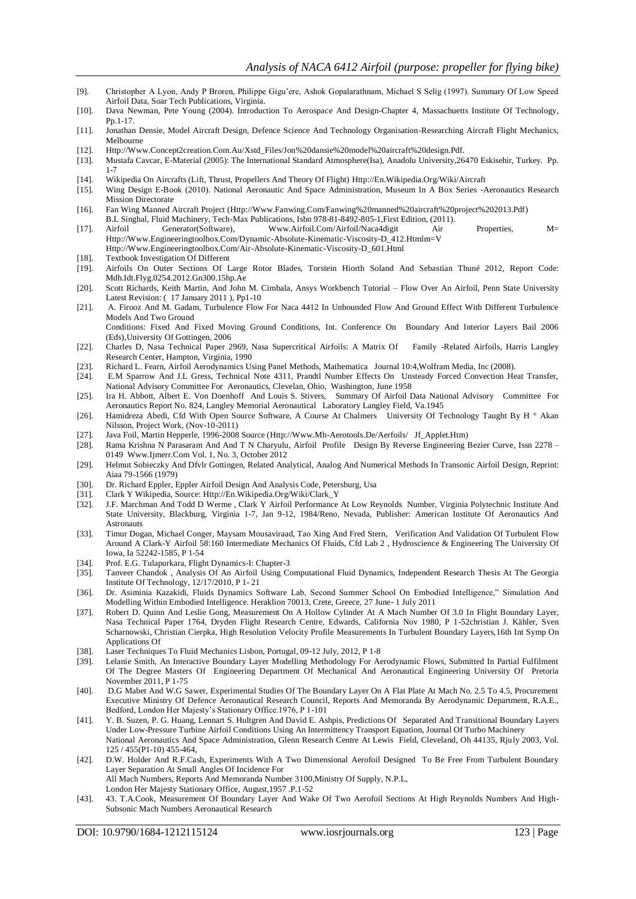- [9]. Christopher A Lyon, Andy P Broren, Philippe Gigu"ere, Ashok Gopalarathnam, Michael S Selig (1997). Summary Of Low Speed Airfoil Data, Soar Tech Publications, Virginia.
- [10]. Dava Newman, Pete Young (2004). Introduction To Aerospace And Design-Chapter 4, Massachuetts Institute Of Technology, Pp.1-17.
- [11]. Jonathan Densie, Model Aircraft Design, Defence Science And Technology Organisation-Researching Aircraft Flight Mechanics, Melbourne
- [12]. Http://Www.Concept2creation.Com.Au/Xstd\_Files/Jon%20dansie%20model%20aircraft%20design.Pdf.
- [13]. Mustafa Cavcar, E-Material (2005): The International Standard Atmosphere(Isa), Anadolu University,26470 Eskisehir, Turkey. Pp. 1-7
- [14]. Wikipedia On Aircrafts (Lift, Thrust, Propellers And Theory Of Flight[\) Http://En.Wikipedia.Org/Wiki/Aircraft](http://en.wikipedia.org/wiki/Aircraft)
- [15]. Wing Design E-Book (2010). National Aeronautic And Space Administration, Museum In A Box Series -Aeronautics Research Mission Directorate
- [16]. Fan Wing Manned Aircraft Project [\(Http://Www.Fanwing.Com/Fanwing%20manned%20aircraft%20project%202013.Pdf\)](http://www.fanwing.com/fanwing%20manned%20aircraft%20project%202013.pdf) B.L Singhal, Fluid Machinery, Tech-Max Publications, Isbn 978-81-8492-805-1,First Edition, (2011).
- [17]. Airfoil Generator(Software), [Www.Airfoil.Com/Airfoil/Naca4digit](http://www.airfoil.com/airfoil/naca4digit) Air Properties, M= Http://Www.Engineeringtoolbox.Com/Dynamic-Absolute-Kinematic-Viscosity-D\_412.Htmlm=V
- [Http://Www.Engineeringtoolbox.Com/Air-Absolute-Kinematic-Viscosity-D\\_601.Html](http://www.engineeringtoolbox.com/air-absolute-kinematic-viscosity-d_601.html)
- [18]. Textbook Investigation Of Different
- [19]. Airfoils On Outer Sections Of Large Rotor Blades, Torstein Hiorth Soland And Sebastian Thuné 2012, Report Code: Mdh.Idt.Flyg.0254.2012.Gn300.15hp.Ae
- [20]. Scott Richards, Keith Martin, And John M. Cimbala, Ansys Workbench Tutorial Flow Over An Airfoil, Penn State University Latest Revision: ( 17 January 2011 ), Pp1-10
- [21]. A. Firooz And M. Gadam, Turbulence Flow For Naca 4412 In Unbounded Flow And Ground Effect With Different Turbulence Models And Two Ground

Conditions: Fixed And Fixed Moving Ground Conditions, Int. Conference On Boundary And Interior Layers Bail 2006 (Eds),University Of Gottingen, 2006

- [22]. Charles D, Nasa Technical Paper 2969, Nasa Supercritical Airfoils: A Matrix Of Family -Related Airfoils, Harris Langley Research Center, Hampton, Virginia, 1990
- [23]. Richard L. Fearn, Airfoil Aerodynamics Using Panel Methods, Mathematica Journal 10:4,Wolfram Media, Inc (2008).
- [24]. E.M Sparrow And J.L Gress, Technical Note 4311, Prandtl Number Effects On Unsteady Forced Convection Heat Transfer, National Advisory Committee For Aeronautics, Clevelan, Ohio, Washington, June 1958
- [25]. Ira H. Abbott, Albert E. Von Doenhoff And Louis S. Stivers, Summary Of Airfoil Data National Advisory Committee For Aeronautics Report No. 824, Langley Memorial Aeronautical Laboratory Langley Field, Va.1945
- [26]. Hamidreza Abedi, Cfd With Open Source Software, A Course At Chalmers University Of Technology Taught By H ° Akan Nilsson, Project Work, (Nov-10-2011)
- [27]. Java Foil, Martin Hepperle, 1996-2008 Source (Http://Www.Mh-Aerotools.De/Aerfoils/ Jf\_Applet.Htm)
- [28]. Rama Krishna N Parasaram And And T N Charyulu, Airfoil Profile Design By Reverse Engineering Bezier Curve, Issn 2278 0149 Www.Ijmerr.Com Vol. 1, No. 3, October 2012
- [29]. Helmut Sobieczky And Dfvlr Gottingen, Related Analytical, Analog And Numerical Methods In Transonic Airfoil Design, Reprint: Aiaa 79-1566 (1979)
- [30]. Dr. Richard Eppler, Eppler Airfoil Design And Analysis Code, Petersburg, Usa
- [31]. Clark Y Wikipedia, Source[: Http://En.Wikipedia.Org/Wiki/Clark\\_Y](http://en.wikipedia.org/wiki/Clark_Y)
- [32]. J.F. Marchman And Todd D Werme , Clark Y Airfoil Performance At Low Reynolds Number, Virginia Polytechnic Institute And State University, Blackburg, Virginia 1-7, Jan 9-12, 1984/Reno, Nevada, Publisher: American Institute Of Aeronautics And **Astronauts**
- [33]. Timur Dogan, Michael Conger, Maysam Mousaviraad, Tao Xing And Fred Stern, Verification And Validation Of Turbulent Flow Around A Clark-Y Airfoil 58:160 Intermediate Mechanics Of Fluids, Cfd Lab 2 , Hydroscience & Engineering The University Of Iowa, Ia 52242-1585, P 1-54
- [34]. Prof. E.G. Tulapurkara, Flight Dynamics-I: Chapter-3
- [35]. Tanveer Chandok , Analysis Of An Airfoil Using Computational Fluid Dynamics, Independent Research Thesis At The Georgia Institute Of Technology, 12/17/2010, P 1- 21
- [36]. Dr. Asiminia Kazakidi, Fluids Dynamics Software Lab, Second Summer School On Embodied Intelligence," Simulation And Modelling Within Embodied Intelligence. Heraklion 70013, Crete, Greece, 27 June- 1 July 2011
- [37]. Robert D. Quinn And Leslie Gong, Measurement On A Hollow Cylinder At A Mach Number Of 3.0 In Flight Boundary Layer, Nasa Technical Paper 1764, Dryden Flight Research Centre, Edwards, California Nov 1980, P 1-52christian J. Kähler, Sven Scharnowski, Christian Cierpka, High Resolution Velocity Profile Measurements In Turbulent Boundary Layers,16th Int Symp On Applications Of
- [38]. Laser Techniques To Fluid Mechanics Lisbon, Portugal, 09-12 July, 2012, P 1-8
- [39]. Lelanie Smith, An Interactive Boundary Layer Modelling Methodology For Aerodynamic Flows, Submitted In Partial Fulfilment Of The Degree Masters Of Engineering Department Of Mechanical And Aeronautical Engineering University Of Pretoria November 2011, P 1-75
- [40]. D.G Mabet And W.G Sawer, Experimental Studies Of The Boundary Layer On A Flat Plate At Mach No. 2.5 To 4.5, Procurement Executive Ministry Of Defence Aeronautical Research Council, Reports And Memoranda By Aerodynamic Department, R.A.E., Bedford, London Her Majesty"s Stationary Office.1976, P 1-101
- [41]. Y. B. Suzen, P. G. Huang, Lennart S. Hultgren And David E. Ashpis, Predictions Of Separated And Transitional Boundary Layers Under Low-Pressure Turbine Airfoil Conditions Using An Intermittency Transport Equation, Journal Of Turbo Machinery National Aeronautics And Space Administration, Glenn Research Centre At Lewis Field, Cleveland, Oh 44135, Rjuly 2003, Vol. 125 / 455(P1-10) 455-464,
- [42]. D.W. Holder And R.F.Cash, Experiments With A Two Dimensional Aerofoil Designed To Be Free From Turbulent Boundary Layer Separation At Small Angles Of Incidence For All Mach Numbers, Reports And Memoranda Number 3100,Ministry Of Supply, N.P.L,
	- London Her Majesty Stationary Office, August,1957 .P.1-52
- [43]. 43. T.A.Cook, Measurement Of Boundary Layer And Wake Of Two Aerofoil Sections At High Reynolds Numbers And High-Subsonic Mach Numbers Aeronautical Research